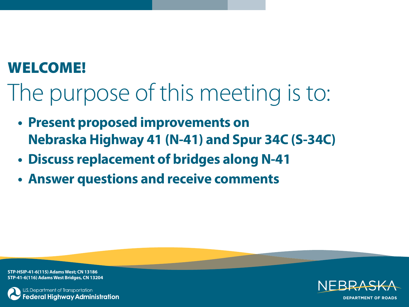## **WELCOME!**

The purpose of this meeting is to:

- **Present proposed improvements on Nebraska Highway 41 (N-41) and Spur 34C (S-34C)**
- **Discuss replacement of bridges along N-41**
- **Answer questions and receive comments**

**STP-HSIP-41-6(115) Adams West; CN 13186 STP-41-6(116) Adams West Bridges, CN 13204**



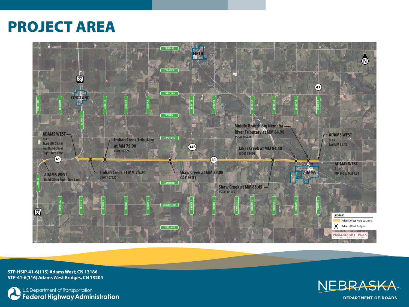## **PROJECT AREA**



**STP-HSIP-41-6(115) Adams West; CN 13186 STP-41-6(116) Adams West Bridges, CN 13204**



, U.S. Department of Transportation<br>**Federal Highway Administration** 



**DEPARTMENT OF ROADS**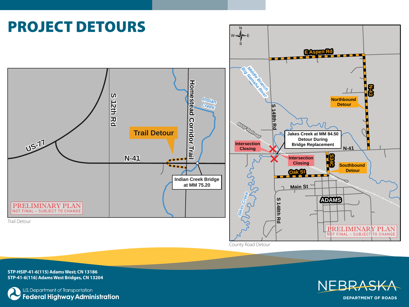

County Road Detour

**STP-HSIP-41-6(115) Adams West; CN 13186 STP-41-6(116) Adams West Bridges, CN 13204**





**DEPARTMENT OF ROADS**